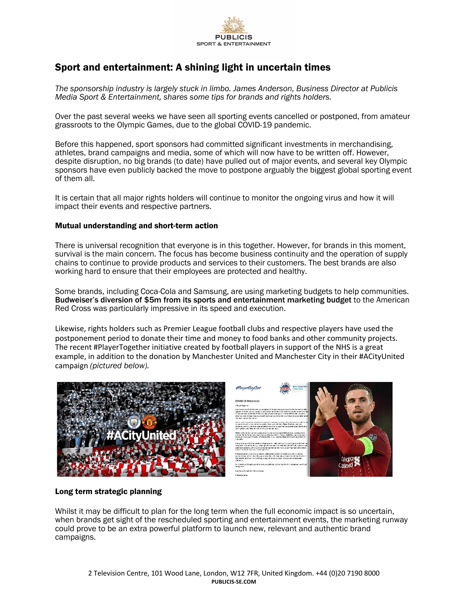

# Sport and entertainment: A shining light in uncertain times

*The sponsorship industry is largely stuck in limbo. James Anderson, Business Director at Publicis Media Sport & Entertainment, shares some tips for brands and rights holders.* 

Over the past several weeks we have seen all sporting events cancelled or postponed, from amateur grassroots to the Olympic Games, due to the global COVID-19 pandemic.

Before this happened, sport sponsors had committed significant investments in merchandising, athletes, brand campaigns and media, some of which will now have to be written off. However, despite disruption, no big brands (to date) have pulled out of major events, and several key Olympic sponsors have even publicly backed the move to postpone arguably the biggest global sporting event of them all.

It is certain that all major rights holders will continue to monitor the ongoing virus and how it will impact their events and respective partners.

#### Mutual understanding and short-term action

There is universal recognition that everyone is in this together. However, for brands in this moment, survival is the main concern. The focus has become business continuity and the operation of supply chains to continue to provide products and services to their customers. The best brands are also working hard to ensure that their employees are protected and healthy.

Some brands, including Coca-Cola and Samsung, are using marketing budgets to help communities. Budweiser's diversion of \$5m from its sports and entertainment marketing budget to the American Red Cross was particularly impressive in its speed and execution.

Likewise, rights holders such as Premier League football clubs and respective players have used the postponement period to donate their time and money to food banks and other community projects. The recent #PlayerTogether initiative created by football players in support of the NHS is a great example, in addition to the donation by Manchester United and Manchester City in their #ACityUnited campaign *(pictured below).*





## Long term strategic planning

Whilst it may be difficult to plan for the long term when the full economic impact is so uncertain, when brands get sight of the rescheduled sporting and entertainment events, the marketing runway could prove to be an extra powerful platform to launch new, relevant and authentic brand campaigns.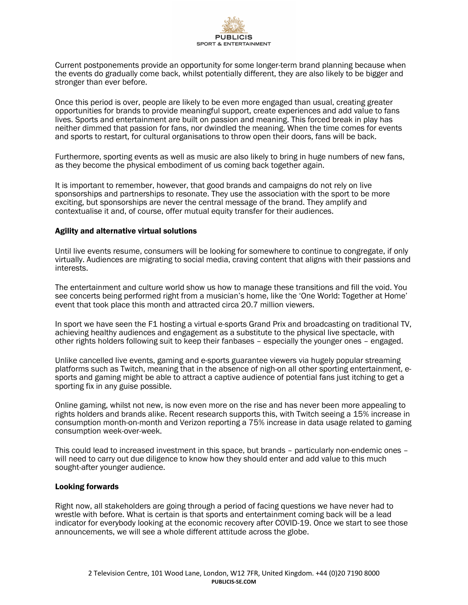

Current postponements provide an opportunity for some longer-term brand planning because when the events do gradually come back, whilst potentially different, they are also likely to be bigger and stronger than ever before.

Once this period is over, people are likely to be even more engaged than usual, creating greater opportunities for brands to provide meaningful support, create experiences and add value to fans lives. Sports and entertainment are built on passion and meaning. This forced break in play has neither dimmed that passion for fans, nor dwindled the meaning. When the time comes for events and sports to restart, for cultural organisations to throw open their doors, fans will be back.

Furthermore, sporting events as well as music are also likely to bring in huge numbers of new fans, as they become the physical embodiment of us coming back together again.

It is important to remember, however, that good brands and campaigns do not rely on live sponsorships and partnerships to resonate. They use the association with the sport to be more exciting, but sponsorships are never the central message of the brand. They amplify and contextualise it and, of course, offer mutual equity transfer for their audiences.

## Agility and alternative virtual solutions

Until live events resume, consumers will be looking for somewhere to continue to congregate, if only virtually. Audiences are migrating to social media, craving content that aligns with their passions and interests.

The entertainment and culture world show us how to manage these transitions and fill the void. You see concerts being performed right from a musician's home, like the 'One World: Together at Home' event that took place this month and attracted circa 20.7 million viewers.

In sport we have seen the F1 hosting a virtual e-sports Grand Prix and broadcasting on traditional TV, achieving healthy audiences and engagement as a substitute to the physical live spectacle, with other rights holders following suit to keep their fanbases – especially the younger ones – engaged.

Unlike cancelled live events, gaming and e-sports guarantee viewers via hugely popular streaming platforms such as Twitch, meaning that in the absence of nigh-on all other sporting entertainment, esports and gaming might be able to attract a captive audience of potential fans just itching to get a sporting fix in any guise possible.

Online gaming, whilst not new, is now even more on the rise and has never been more appealing to rights holders and brands alike. Recent research supports this, with Twitch seeing a 15% increase in consumption month-on-month and Verizon reporting a 75% increase in data usage related to gaming consumption week-over-week.

This could lead to increased investment in this space, but brands – particularly non-endemic ones – will need to carry out due diligence to know how they should enter and add value to this much sought-after younger audience.

#### Looking forwards

Right now, all stakeholders are going through a period of facing questions we have never had to wrestle with before. What is certain is that sports and entertainment coming back will be a lead indicator for everybody looking at the economic recovery after COVID-19. Once we start to see those announcements, we will see a whole different attitude across the globe.